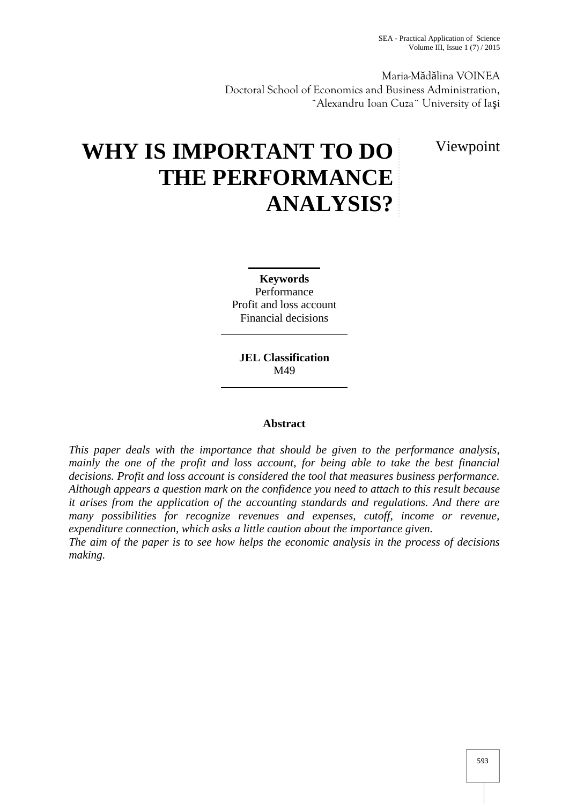Maria-M d lina VOINEA Doctoral School of Economics and Business Administration, ¨Alexandru Ioan Cuza¨ University of Ia i

Viewpoint

# **WHY IS IMPORTANT TO DO THE PERFORMANCE ANALYSIS?**

**Keywords** Performance Profit and loss account Financial decisions

**JEL Classification** M49

# **Abstract**

*This paper deals with the importance that should be given to the performance analysis, mainly the one of the profit and loss account, for being able to take the best financial decisions. Profit and loss account is considered the tool that measures business performance. Although appears a question mark on the confidence you need to attach to this result because it arises from the application of the accounting standards and regulations. And there are many possibilities for recognize revenues and expenses, cutoff, income or revenue, expenditure connection, which asks a little caution about the importance given.*

*The aim of the paper is to see how helps the economic analysis in the process of decisions making.*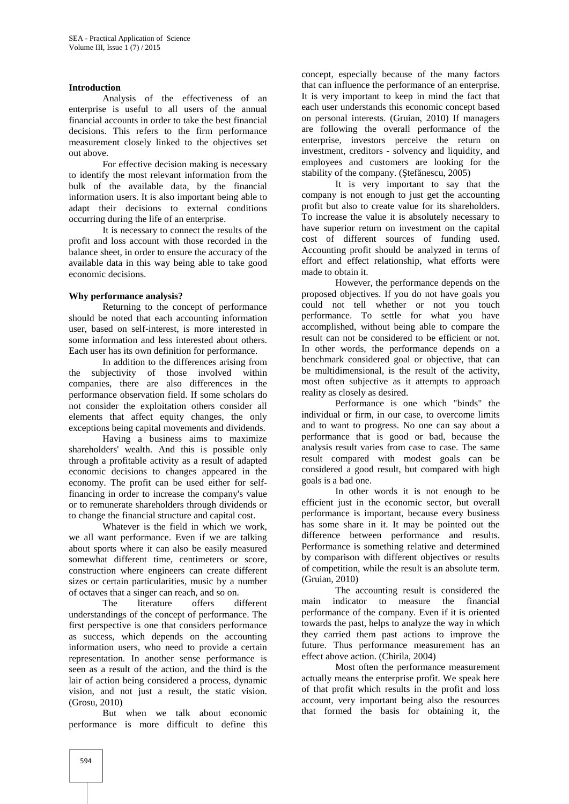#### **Introduction**

Analysis of the effectiveness of an enterprise is useful to all users of the annual financial accounts in order to take the best financial decisions. This refers to the firm performance measurement closely linked to the objectives set out above.

For effective decision making is necessary to identify the most relevant information from the bulk of the available data, by the financial information users. It is also important being able to adapt their decisions to external conditions occurring during the life of an enterprise.

It is necessary to connect the results of the profit and loss account with those recorded in the balance sheet, in order to ensure the accuracy of the available data in this way being able to take good economic decisions.

### **Why performance analysis?**

Returning to the concept of performance should be noted that each accounting information user, based on self-interest, is more interested in some information and less interested about others. Each user has its own definition for performance.

In addition to the differences arising from the subjectivity of those involved within companies, there are also differences in the performance observation field. If some scholars do not consider the exploitation others consider all elements that affect equity changes, the only exceptions being capital movements and dividends.

Having a business aims to maximize shareholders' wealth. And this is possible only through a profitable activity as a result of adapted economic decisions to changes appeared in the economy. The profit can be used either for selffinancing in order to increase the company's value or to remunerate shareholders through dividends or to change the financial structure and capital cost.

Whatever is the field in which we work, we all want performance. Even if we are talking about sports where it can also be easily measured somewhat different time, centimeters or score, construction where engineers can create different sizes or certain particularities, music by a number of octaves that a singer can reach, and so on.

The literature offers different understandings of the concept of performance. The first perspective is one that considers performance as success, which depends on the accounting information users, who need to provide a certain representation. In another sense performance is seen as a result of the action, and the third is the lair of action being considered a process, dynamic vision, and not just a result, the static vision. (Grosu, 2010)

But when we talk about economic performance is more difficult to define this concept, especially because of the many factors that can influence the performance of an enterprise. It is very important to keep in mind the fact that each user understands this economic concept based on personal interests. (Gruian, 2010) If managers are following the overall performance of the enterprise, investors perceive the return on investment, creditors - solvency and liquidity, and employees and customers are looking for the stability of the company. ( $\text{tef}$  nescu, 2005)

It is very important to say that the company is not enough to just get the accounting profit but also to create value for its shareholders. To increase the value it is absolutely necessary to have superior return on investment on the capital cost of different sources of funding used. Accounting profit should be analyzed in terms of effort and effect relationship, what efforts were made to obtain it.

However, the performance depends on the proposed objectives. If you do not have goals you could not tell whether or not you touch performance. To settle for what you have accomplished, without being able to compare the result can not be considered to be efficient or not. In other words, the performance depends on a benchmark considered goal or objective, that can be multidimensional, is the result of the activity, most often subjective as it attempts to approach reality as closely as desired.

Performance is one which "binds" the individual or firm, in our case, to overcome limits and to want to progress. No one can say about a performance that is good or bad, because the analysis result varies from case to case. The same result compared with modest goals can be considered a good result, but compared with high goals is a bad one.

In other words it is not enough to be efficient just in the economic sector, but overall performance is important, because every business has some share in it. It may be pointed out the difference between performance and results. Performance is something relative and determined by comparison with different objectives or results of competition, while the result is an absolute term. (Gruian, 2010)

The accounting result is considered the main indicator to measure the financial performance of the company. Even if it is oriented towards the past, helps to analyze the way in which they carried them past actions to improve the future. Thus performance measurement has an effect above action. (Chirila, 2004)

Most often the performance measurement actually means the enterprise profit. We speak here of that profit which results in the profit and loss account, very important being also the resources that formed the basis for obtaining it, the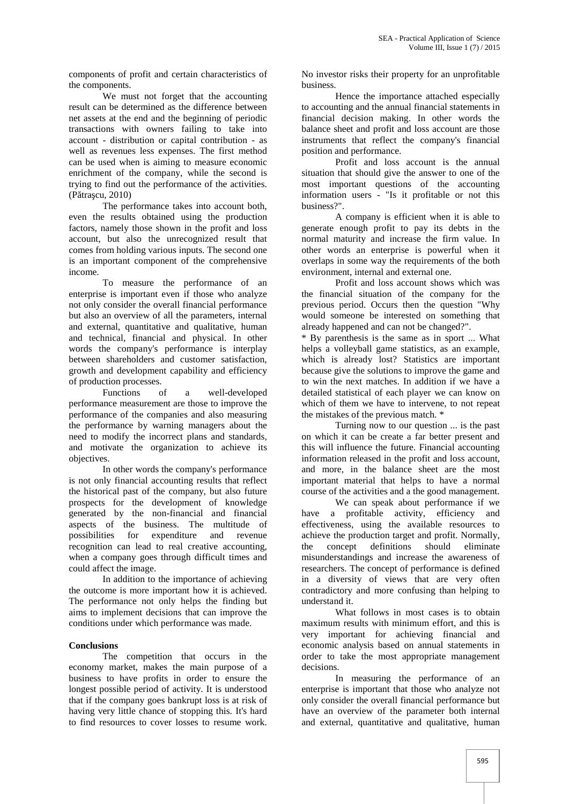components of profit and certain characteristics of the components.

We must not forget that the accounting result can be determined as the difference between net assets at the end and the beginning of periodic transactions with owners failing to take into account - distribution or capital contribution - as well as revenues less expenses. The first method can be used when is aiming to measure economic enrichment of the company, while the second is trying to find out the performance of the activities.  $(P$  tra cu, 2010)

The performance takes into account both, even the results obtained using the production factors, namely those shown in the profit and loss account, but also the unrecognized result that comes from holding various inputs. The second one is an important component of the comprehensive income.

To measure the performance of an enterprise is important even if those who analyze not only consider the overall financial performance but also an overview of all the parameters, internal and external, quantitative and qualitative, human and technical, financial and physical. In other words the company's performance is interplay between shareholders and customer satisfaction, growth and development capability and efficiency of production processes.

Functions of a well-developed performance measurement are those to improve the performance of the companies and also measuring the performance by warning managers about the need to modify the incorrect plans and standards, and motivate the organization to achieve its objectives.

In other words the company's performance is not only financial accounting results that reflect the historical past of the company, but also future prospects for the development of knowledge generated by the non-financial and financial aspects of the business. The multitude of possibilities for expenditure and revenue recognition can lead to real creative accounting, when a company goes through difficult times and could affect the image.

In addition to the importance of achieving the outcome is more important how it is achieved. The performance not only helps the finding but aims to implement decisions that can improve the conditions under which performance was made.

#### **Conclusions**

The competition that occurs in the economy market, makes the main purpose of a business to have profits in order to ensure the longest possible period of activity. It is understood that if the company goes bankrupt loss is at risk of having very little chance of stopping this. It's hard to find resources to cover losses to resume work.

No investor risks their property for an unprofitable business.

Hence the importance attached especially to accounting and the annual financial statements in financial decision making. In other words the balance sheet and profit and loss account are those instruments that reflect the company's financial position and performance.

Profit and loss account is the annual situation that should give the answer to one of the most important questions of the accounting information users - "Is it profitable or not this business?".

A company is efficient when it is able to generate enough profit to pay its debts in the normal maturity and increase the firm value. In other words an enterprise is powerful when it overlaps in some way the requirements of the both environment, internal and external one.

Profit and loss account shows which was the financial situation of the company for the previous period. Occurs then the question "Why would someone be interested on something that already happened and can not be changed?".

\* By parenthesis is the same as in sport ... What helps a volleyball game statistics, as an example, which is already lost? Statistics are important because give the solutions to improve the game and to win the next matches. In addition if we have a detailed statistical of each player we can know on which of them we have to intervene, to not repeat the mistakes of the previous match. \*

Turning now to our question ... is the past on which it can be create a far better present and this will influence the future. Financial accounting information released in the profit and loss account, and more, in the balance sheet are the most important material that helps to have a normal course of the activities and a the good management.

We can speak about performance if we have a profitable activity, efficiency and effectiveness, using the available resources to achieve the production target and profit. Normally, the concept definitions should eliminate misunderstandings and increase the awareness of researchers. The concept of performance is defined in a diversity of views that are very often contradictory and more confusing than helping to understand it.

What follows in most cases is to obtain maximum results with minimum effort, and this is very important for achieving financial and economic analysis based on annual statements in order to take the most appropriate management decisions.

In measuring the performance of an enterprise is important that those who analyze not only consider the overall financial performance but have an overview of the parameter both internal and external, quantitative and qualitative, human